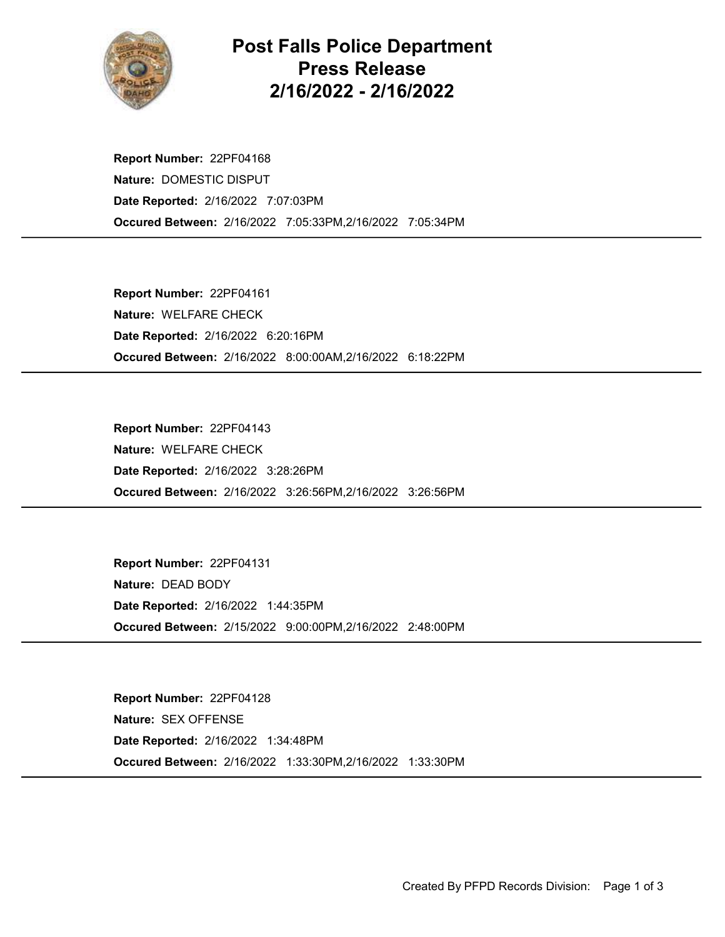

## Post Falls Police Department Press Release 2/16/2022 - 2/16/2022

Occured Between: 2/16/2022 7:05:33PM,2/16/2022 7:05:34PM Report Number: 22PF04168 Nature: DOMESTIC DISPUT Date Reported: 2/16/2022 7:07:03PM

Occured Between: 2/16/2022 8:00:00AM,2/16/2022 6:18:22PM Report Number: 22PF04161 Nature: WELFARE CHECK Date Reported: 2/16/2022 6:20:16PM

Occured Between: 2/16/2022 3:26:56PM,2/16/2022 3:26:56PM Report Number: 22PF04143 Nature: WELFARE CHECK Date Reported: 2/16/2022 3:28:26PM

Occured Between: 2/15/2022 9:00:00PM,2/16/2022 2:48:00PM Report Number: 22PF04131 Nature: DEAD BODY Date Reported: 2/16/2022 1:44:35PM

Occured Between: 2/16/2022 1:33:30PM,2/16/2022 1:33:30PM Report Number: 22PF04128 Nature: SEX OFFENSE Date Reported: 2/16/2022 1:34:48PM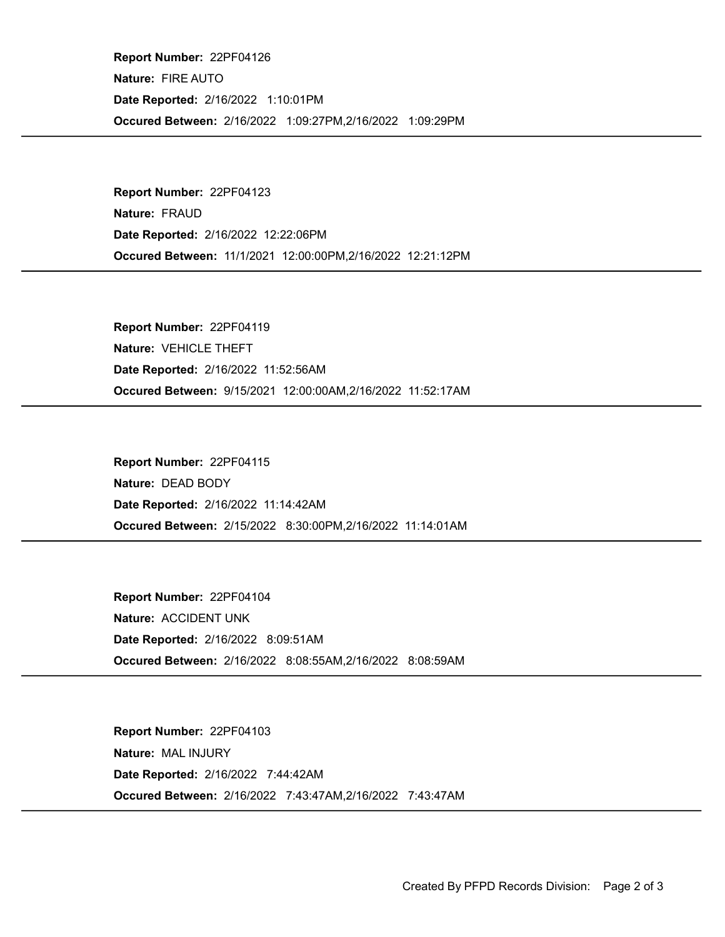Occured Between: 2/16/2022 1:09:27PM,2/16/2022 1:09:29PM Report Number: 22PF04126 Nature: FIRE AUTO Date Reported: 2/16/2022 1:10:01PM

Occured Between: 11/1/2021 12:00:00PM,2/16/2022 12:21:12PM Report Number: 22PF04123 Nature: FRAUD Date Reported: 2/16/2022 12:22:06PM

Occured Between: 9/15/2021 12:00:00AM,2/16/2022 11:52:17AM Report Number: 22PF04119 Nature: VEHICLE THEFT Date Reported: 2/16/2022 11:52:56AM

Occured Between: 2/15/2022 8:30:00PM,2/16/2022 11:14:01AM Report Number: 22PF04115 Nature: DEAD BODY Date Reported: 2/16/2022 11:14:42AM

Occured Between: 2/16/2022 8:08:55AM,2/16/2022 8:08:59AM Report Number: 22PF04104 Nature: ACCIDENT UNK Date Reported: 2/16/2022 8:09:51AM

Occured Between: 2/16/2022 7:43:47AM,2/16/2022 7:43:47AM Report Number: 22PF04103 Nature: MAL INJURY Date Reported: 2/16/2022 7:44:42AM